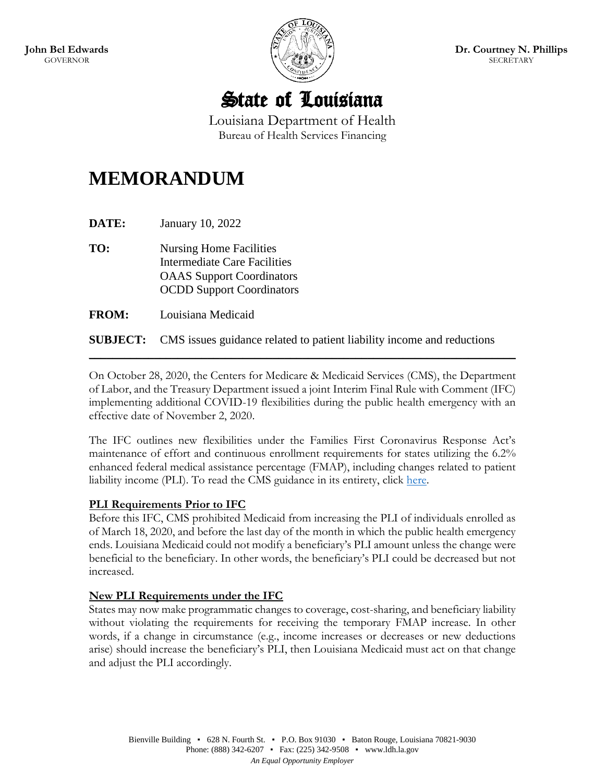



Louisiana Department of Health Bureau of Health Services Financing

## **MEMORANDUM**

- **DATE:** January 10, 2022
- **TO:** Nursing Home Facilities Intermediate Care Facilities OAAS Support Coordinators OCDD Support Coordinators
- **FROM:** Louisiana Medicaid

**SUBJECT:** CMS issues guidance related to patient liability income and reductions

On October 28, 2020, the Centers for Medicare & Medicaid Services (CMS), the Department of Labor, and the Treasury Department issued a joint Interim Final Rule with Comment (IFC) implementing additional COVID-19 flexibilities during the public health emergency with an effective date of November 2, 2020.

\_\_\_\_\_\_\_\_\_\_\_\_\_\_\_\_\_\_\_\_\_\_\_\_\_\_\_\_\_\_\_\_\_\_\_\_\_\_\_\_\_\_\_\_\_\_\_\_\_\_\_\_\_\_\_\_\_\_\_\_\_\_\_\_\_\_\_\_\_\_\_\_

The IFC outlines new flexibilities under the Families First Coronavirus Response Act's maintenance of effort and continuous enrollment requirements for states utilizing the 6.2% enhanced federal medical assistance percentage (FMAP), including changes related to patient liability income (PLI). To read the CMS guidance in its entirety, click [here.](https://www.cms.gov/files/document/covid-vax-ifc-4.pdf)

## **PLI Requirements Prior to IFC**

Before this IFC, CMS prohibited Medicaid from increasing the PLI of individuals enrolled as of March 18, 2020, and before the last day of the month in which the public health emergency ends. Louisiana Medicaid could not modify a beneficiary's PLI amount unless the change were beneficial to the beneficiary. In other words, the beneficiary's PLI could be decreased but not increased.

## **New PLI Requirements under the IFC**

States may now make programmatic changes to coverage, cost-sharing, and beneficiary liability without violating the requirements for receiving the temporary FMAP increase. In other words, if a change in circumstance (e.g., income increases or decreases or new deductions arise) should increase the beneficiary's PLI, then Louisiana Medicaid must act on that change and adjust the PLI accordingly.